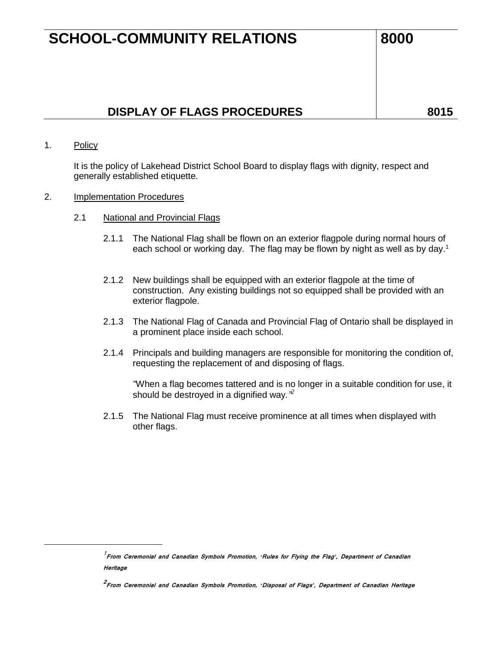## **DISPLAY OF FLAGS PROCEDURES**  $\vert$  8015

1. Policy

 $\overline{a}$ 

It is the policy of Lakehead District School Board to display flags with dignity, respect and generally established etiquette.

- 2. Implementation Procedures
	- 2.1 National and Provincial Flags
		- 2.1.1 The National Flag shall be flown on an exterior flagpole during normal hours of each school or working day. The flag may be flown by night as well as by day.<sup>1</sup>
		- 2.1.2 New buildings shall be equipped with an exterior flagpole at the time of construction. Any existing buildings not so equipped shall be provided with an exterior flagpole.
		- 2.1.3 The National Flag of Canada and Provincial Flag of Ontario shall be displayed in a prominent place inside each school.
		- 2.1.4 Principals and building managers are responsible for monitoring the condition of, requesting the replacement of and disposing of flags.

*"*When a flag becomes tattered and is no longer in a suitable condition for use, it should be destroyed in a dignified way*." 2*

2.1.5 The National Flag must receive prominence at all times when displayed with other flags.

<sup>1</sup> **From Ceremonial and Canadian Symbols Promotion,** *'***Rules for Flying the Flag***'***, Department of Canadian Heritage**

**<sup>2</sup> From Ceremonial and Canadian Symbols Promotion,** *'***Disposal of Flags***'***, Department of Canadian Heritage**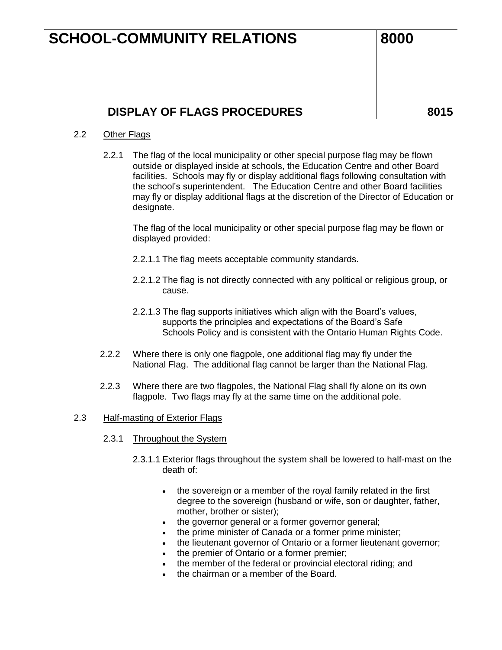### 2.2 Other Flags

2.2.1 The flag of the local municipality or other special purpose flag may be flown outside or displayed inside at schools, the Education Centre and other Board facilities. Schools may fly or display additional flags following consultation with the school's superintendent. The Education Centre and other Board facilities may fly or display additional flags at the discretion of the Director of Education or designate.

The flag of the local municipality or other special purpose flag may be flown or displayed provided:

- 2.2.1.1 The flag meets acceptable community standards.
- 2.2.1.2 The flag is not directly connected with any political or religious group, or cause.
- 2.2.1.3 The flag supports initiatives which align with the Board's values, supports the principles and expectations of the Board's Safe Schools Policy and is consistent with the Ontario Human Rights Code.
- 2.2.2 Where there is only one flagpole, one additional flag may fly under the National Flag. The additional flag cannot be larger than the National Flag.
- 2.2.3 Where there are two flagpoles, the National Flag shall fly alone on its own flagpole. Two flags may fly at the same time on the additional pole.

#### 2.3 Half-masting of Exterior Flags

- 2.3.1 Throughout the System
	- 2.3.1.1 Exterior flags throughout the system shall be lowered to half-mast on the death of:
		- the sovereign or a member of the royal family related in the first degree to the sovereign (husband or wife, son or daughter, father, mother, brother or sister);
		- the governor general or a former governor general;
		- the prime minister of Canada or a former prime minister;
		- the lieutenant governor of Ontario or a former lieutenant governor;
		- the premier of Ontario or a former premier;
		- the member of the federal or provincial electoral riding; and
		- the chairman or a member of the Board.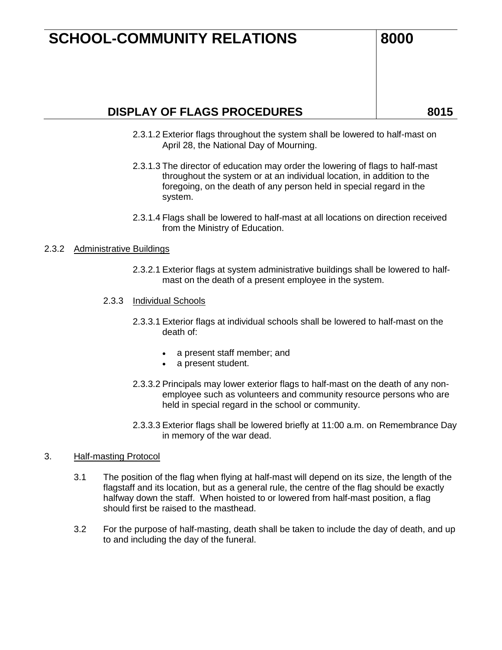### **DISPLAY OF FLAGS PROCEDURES** 8015

- 2.3.1.2 Exterior flags throughout the system shall be lowered to half-mast on April 28, the National Day of Mourning.
- 2.3.1.3 The director of education may order the lowering of flags to half-mast throughout the system or at an individual location, in addition to the foregoing, on the death of any person held in special regard in the system.
- 2.3.1.4 Flags shall be lowered to half-mast at all locations on direction received from the Ministry of Education.

### 2.3.2 Administrative Buildings

2.3.2.1 Exterior flags at system administrative buildings shall be lowered to halfmast on the death of a present employee in the system.

#### 2.3.3 Individual Schools

- 2.3.3.1 Exterior flags at individual schools shall be lowered to half-mast on the death of:
	- a present staff member; and
	- a present student.
- 2.3.3.2 Principals may lower exterior flags to half-mast on the death of any nonemployee such as volunteers and community resource persons who are held in special regard in the school or community.
- 2.3.3.3 Exterior flags shall be lowered briefly at 11:00 a.m. on Remembrance Day in memory of the war dead.

### 3. Half-masting Protocol

- 3.1 The position of the flag when flying at half-mast will depend on its size, the length of the flagstaff and its location, but as a general rule, the centre of the flag should be exactly halfway down the staff. When hoisted to or lowered from half-mast position, a flag should first be raised to the masthead.
- 3.2 For the purpose of half-masting, death shall be taken to include the day of death, and up to and including the day of the funeral.